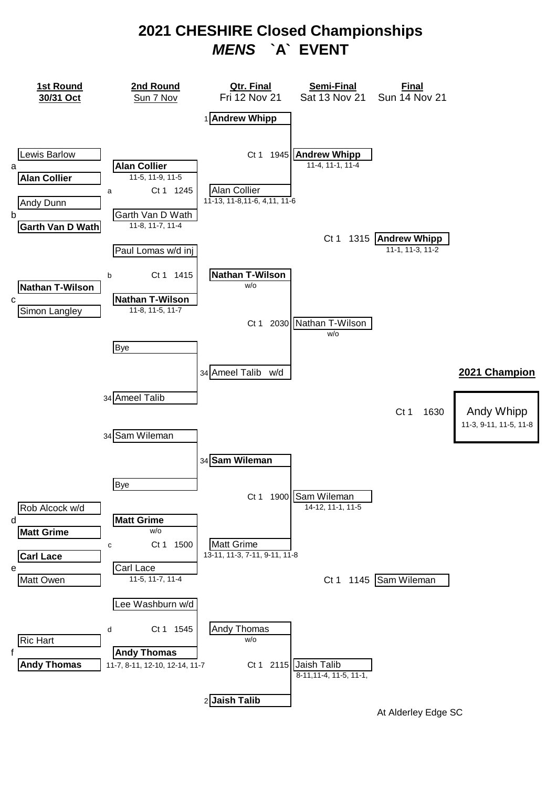### **2021 CHESHIRE Closed Championships**  *MENS* **`A` EVENT**

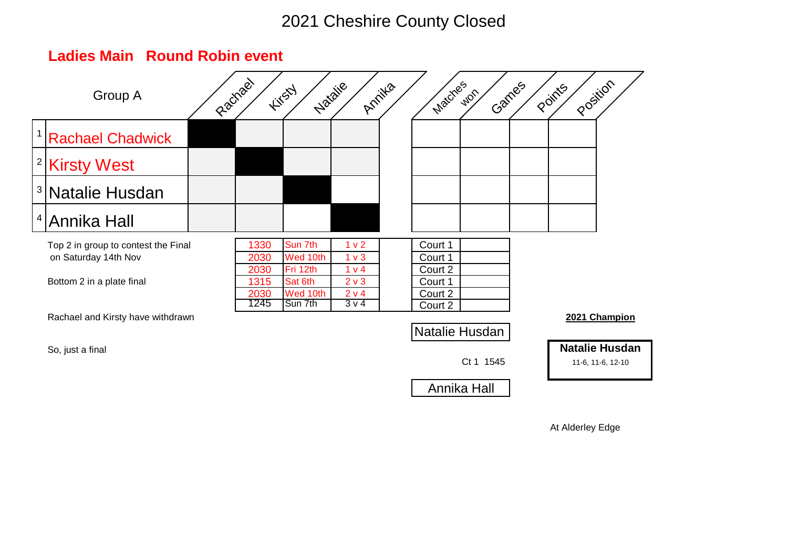| Group A                                                                                  | Riachael |                                      | Natalie<br><b>Firsty</b>                               | Annilla                                                                  | Matches                                             | Games<br>Wor | Position<br>Points |                                            |
|------------------------------------------------------------------------------------------|----------|--------------------------------------|--------------------------------------------------------|--------------------------------------------------------------------------|-----------------------------------------------------|--------------|--------------------|--------------------------------------------|
| <sup>1</sup> Rachael Chadwick                                                            |          |                                      |                                                        |                                                                          |                                                     |              |                    |                                            |
| <sup>2</sup> Kirsty West                                                                 |          |                                      |                                                        |                                                                          |                                                     |              |                    |                                            |
| <sup>3</sup> Natalie Husdan                                                              |          |                                      |                                                        |                                                                          |                                                     |              |                    |                                            |
| <sup>4</sup> Annika Hall                                                                 |          |                                      |                                                        |                                                                          |                                                     |              |                    |                                            |
| Top 2 in group to contest the Final<br>on Saturday 14th Nov<br>Bottom 2 in a plate final |          | 1330<br>2030<br>2030<br>1315<br>2030 | Sun 7th<br>Wed 10th<br>Fri 12th<br>Sat 6th<br>Wed 10th | 1 <sub>v</sub> 2<br>1 <sub>v</sub><br>1 v 4<br>2 <sub>v</sub> 3<br>2 v 4 | Court 1<br>Court 1<br>Court 2<br>Court 1<br>Court 2 |              |                    |                                            |
| Rachael and Kirsty have withdrawn                                                        |          | 1245                                 | Sun 7th                                                | $3\nu4$                                                                  | Court 2<br>Natalie Husdan                           |              |                    | 2021 Champion                              |
| So, just a final                                                                         |          |                                      |                                                        |                                                                          |                                                     | Ct 1 1545    |                    | <b>Natalie Husdan</b><br>11-6, 11-6, 12-10 |
|                                                                                          |          |                                      |                                                        |                                                                          |                                                     | Annika Hall  |                    |                                            |

### **Ladies Main Round Robin event**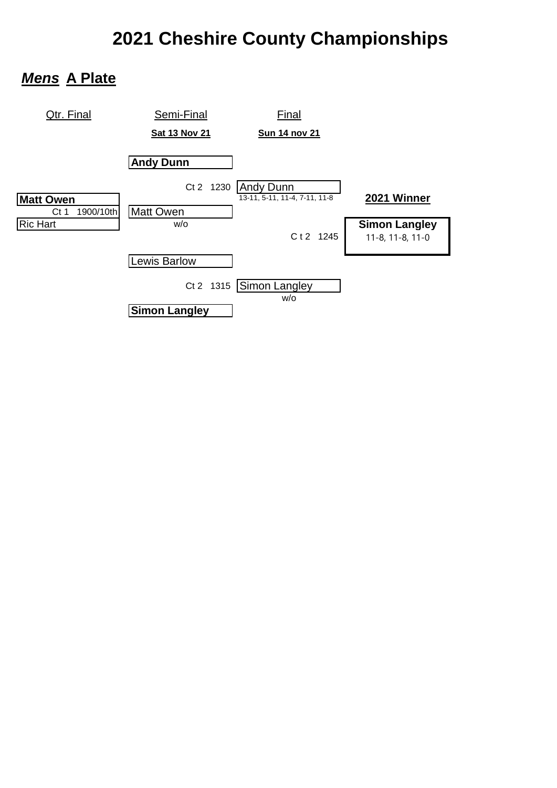# **2021 Cheshire County Championships**

### *Mens* **A Plate**

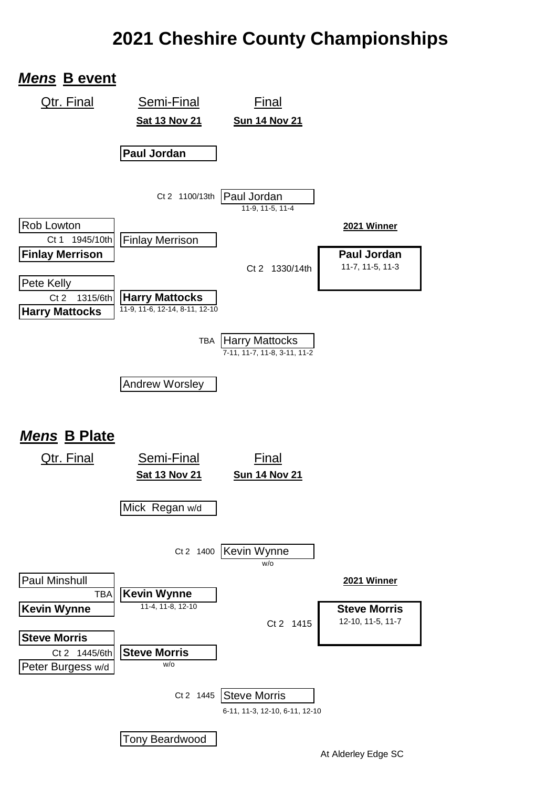## **2021 Cheshire County Championships**

### *Mens* **B event**

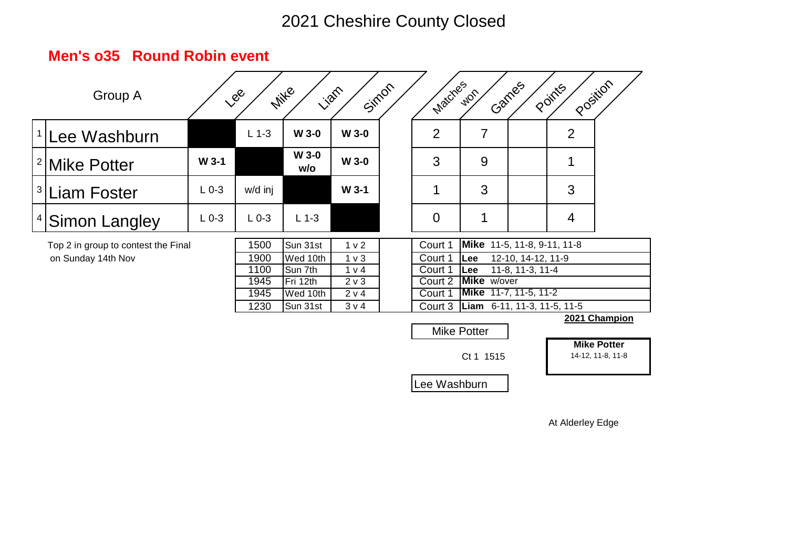|          | Group A                             |           | Lee       | <b>Mitte</b><br><b>Vian</b> |                  | Simon | Matches        | <b>WOR</b>                  | Ganges             | Position<br>Points |                                         |
|----------|-------------------------------------|-----------|-----------|-----------------------------|------------------|-------|----------------|-----------------------------|--------------------|--------------------|-----------------------------------------|
|          | <sup>1</sup> Lee Washburn           |           | $L$ 1-3   | <b>W 3-0</b>                | $W$ 3-0          |       | $\overline{2}$ | $\overline{7}$              |                    | $\overline{2}$     |                                         |
|          | <sup>2</sup>  Mike Potter           | $W$ 3-1   |           | <b>W 3-0</b><br>w/o         | $W$ 3-0          |       | 3              | 9                           |                    | 1                  |                                         |
|          | <sup>3</sup>  Liam Foster           | $L_{0-3}$ | w/d inj   |                             | W 3-1            |       | $\mathbf 1$    | 3                           |                    | 3                  |                                         |
| $4 \mid$ | Simon Langley                       | $L_{0-3}$ | $L_{0-3}$ | $L$ 1-3                     |                  |       | $\overline{0}$ | 1                           |                    | $\overline{4}$     |                                         |
|          | Top 2 in group to contest the Final |           | 1500      | Sun 31st                    | 1 <sub>v</sub>   |       | Court 1        | Mike 11-5, 11-8, 9-11, 11-8 |                    |                    |                                         |
|          | on Sunday 14th Nov                  |           | 1900      | Wed 10th                    | 1 <sub>v</sub>   |       | Court 1        | Lee                         | 12-10, 14-12, 11-9 |                    |                                         |
|          |                                     |           | 1100      | Sun 7th                     | 1 v 4            |       | Court 1        | Lee                         | 11-8, 11-3, 11-4   |                    |                                         |
|          |                                     |           | 1945      | Fri 12th                    | 2 <sub>v</sub> 3 |       | Court 2        | <b>Mike</b> w/over          |                    |                    |                                         |
|          |                                     |           | 1945      | Wed 10th                    | 2 v 4            |       | Court 1        | Mike 11-7, 11-5, 11-2       |                    |                    |                                         |
|          |                                     |           | 1230      | Sun 31st                    | 3 v 4            |       | Court 3        | Liam 6-11, 11-3, 11-5, 11-5 |                    |                    | 2021 Champion                           |
|          |                                     |           |           |                             |                  |       |                | <b>Mike Potter</b>          |                    |                    |                                         |
|          |                                     |           |           |                             |                  |       |                | Ct 1 1515                   |                    |                    | <b>Mike Potter</b><br>14-12, 11-8, 11-8 |
|          |                                     |           |           |                             |                  |       | Lee Washburn   |                             |                    |                    |                                         |

#### **Men's o35 Round Robin event**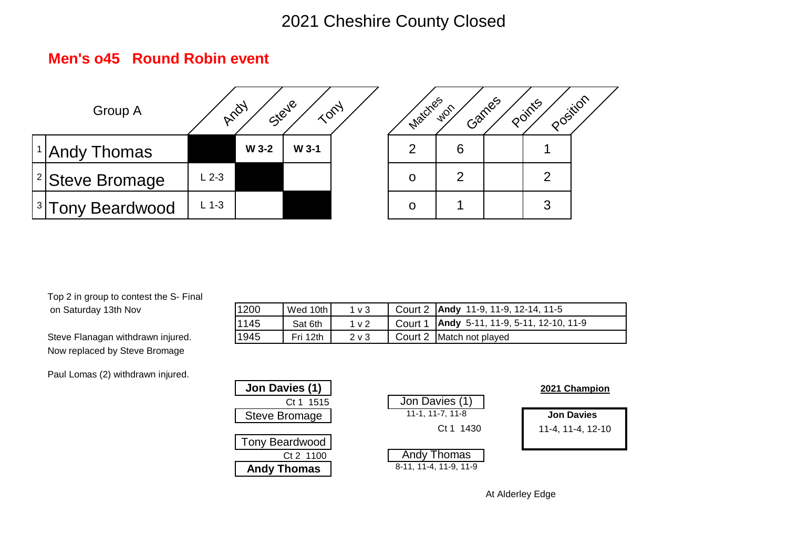#### **Men's o45 Round Robin event**





Top 2 in group to contest the S- Final on Saturday 13th Nov

Steve Flanagan withdrawn injured. Now replaced by Steve Bromage

Paul Lomas (2) withdrawn injured.

| 1200  | Wed 10th | $1v$ 3         | Court 2   Andy 11-9, 11-9, 12-14, 11-5       |
|-------|----------|----------------|----------------------------------------------|
| 11145 | Sat 6th  | 1 <sub>v</sub> | Court 1   Andy 5-11, 11-9, 5-11, 12-10, 11-9 |
| 1945  | Fri 12th | $2 \vee 3$     | Court 2 Match not played                     |

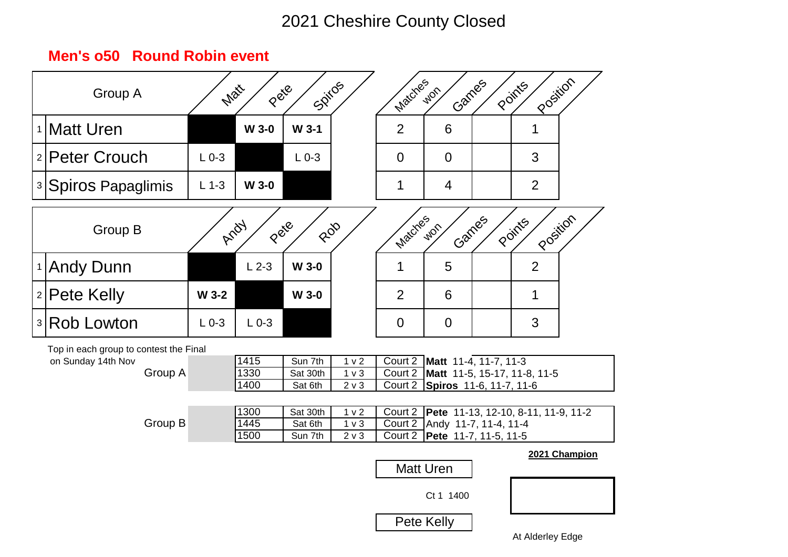## **Men's o50 Round Robin event**

| Group A                                                                 | Matt      | Pete                 | Soiros                         |                                                      | Matches                       | Garnes<br>WOR                                                                                      | Position<br>Points |               |
|-------------------------------------------------------------------------|-----------|----------------------|--------------------------------|------------------------------------------------------|-------------------------------|----------------------------------------------------------------------------------------------------|--------------------|---------------|
| <sup>1</sup>  Matt Uren                                                 |           | <b>W 3-0</b>         | $W$ 3-1                        |                                                      | $\overline{2}$                | $6\phantom{1}6$                                                                                    | 1                  |               |
| <sup>2</sup>  Peter Crouch                                              | $L_{0-3}$ |                      | $L_{0-3}$                      |                                                      | $\overline{0}$                | $\overline{0}$                                                                                     | 3                  |               |
| з Spiros Papaglimis                                                     | $L$ 1-3   | W 3-0                |                                |                                                      | 1                             | $\overline{4}$                                                                                     | $\overline{2}$     |               |
| Group B                                                                 | Arial     | Pete                 | ROD                            |                                                      | Matches                       | Carnes<br>WOR                                                                                      | Position<br>Points |               |
| 1 Andy Dunn                                                             |           | $L2-3$               | <b>W 3-0</b>                   |                                                      | 1                             | 5                                                                                                  | $\overline{2}$     |               |
| 2 Pete Kelly                                                            | W 3-2     |                      | $W$ 3-0                        |                                                      | $\overline{2}$                | $6\phantom{1}6$                                                                                    | 1                  |               |
| <u> अRob Lowton</u>                                                     | $L_{0-3}$ | $L_{0-3}$            |                                |                                                      | $\overline{0}$                | $\mathbf 0$                                                                                        | 3                  |               |
| Top in each group to contest the Final<br>on Sunday 14th Nov<br>Group A |           | 1415<br>1330<br>1400 | Sun 7th<br>Sat 30th<br>Sat 6th | 1 <sub>v</sub> 2<br>1 <sub>v</sub><br>2 <sub>v</sub> | Court 2                       | Court 2 Matt 11-4, 11-7, 11-3<br>Court 2   Matt 11-5, 15-17, 11-8, 11-5<br>Spiros 11-6, 11-7, 11-6 |                    |               |
| Group B                                                                 |           | 1300<br>1445<br>1500 | Sat 30th<br>Sat 6th<br>Sun 7th | 1 <sub>v</sub> 2<br>1 <sub>v</sub><br>$2 \vee 3$     | Court 2<br>Court 2<br>Court 2 | Pete 11-13, 12-10, 8-11, 11-9, 11-2<br>Andy 11-7, 11-4, 11-4<br>Pete 11-7, 11-5, 11-5              |                    |               |
|                                                                         |           |                      |                                |                                                      |                               | <b>Matt Uren</b>                                                                                   |                    | 2021 Champion |
|                                                                         |           |                      |                                |                                                      |                               | Ct 1 1400                                                                                          |                    |               |
|                                                                         |           |                      |                                |                                                      |                               | Pete Kelly                                                                                         |                    |               |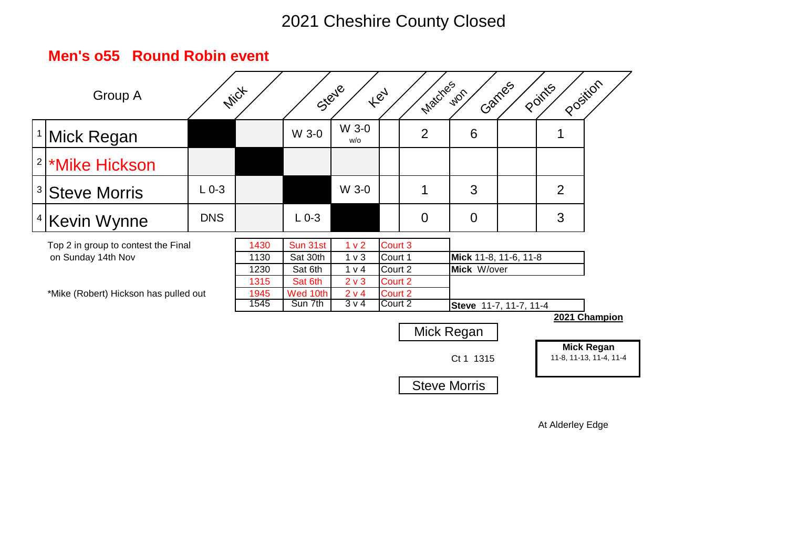|                                                                                                    | Group A                                | <b>Mict</b>                          |                                                        |                                                                          | Steye                                               | <b>Hey</b> | Matches                              | <b>WOR</b>                           | Games | Points | Position                                     |
|----------------------------------------------------------------------------------------------------|----------------------------------------|--------------------------------------|--------------------------------------------------------|--------------------------------------------------------------------------|-----------------------------------------------------|------------|--------------------------------------|--------------------------------------|-------|--------|----------------------------------------------|
|                                                                                                    | <sup>1</sup>  Mick Regan               |                                      |                                                        | W 3-0                                                                    | W 3-0<br>w/o                                        |            | $\overline{2}$                       | 6                                    |       | 1      |                                              |
|                                                                                                    | <sup>2</sup> <sup>*</sup> Mike Hickson |                                      |                                                        |                                                                          |                                                     |            |                                      |                                      |       |        |                                              |
|                                                                                                    | <sup>3</sup> Steve Morris              | $L_{0-3}$                            |                                                        |                                                                          | W 3-0                                               |            | 1                                    | 3                                    |       | 2      |                                              |
| $4\vert$                                                                                           | Kevin Wynne                            | <b>DNS</b>                           |                                                        | $L_{0-3}$                                                                |                                                     |            | $\overline{0}$                       | $\overline{0}$                       |       | 3      |                                              |
| Top 2 in group to contest the Final<br>on Sunday 14th Nov<br>*Mike (Robert) Hickson has pulled out |                                        | 1430<br>1130<br>1230<br>1315<br>1945 | Sun 31st<br>Sat 30th<br>Sat 6th<br>Sat 6th<br>Wed 10th | 1 <sub>v</sub> 2<br>1 <sub>v</sub><br>1 v 4<br>2 <sub>v</sub> 3<br>2 v 4 | Court 3<br>Court 1<br>Court 2<br>Court 2<br>Court 2 |            | Mick 11-8, 11-6, 11-8<br>Mick W/over |                                      |       |        |                                              |
|                                                                                                    |                                        |                                      | 1545                                                   | Sun 7th                                                                  | $3\nu4$                                             | Court 2    |                                      | Steve 11-7, 11-7, 11-4<br>Mick Regan |       |        | 2021 Champion                                |
|                                                                                                    |                                        |                                      |                                                        |                                                                          |                                                     |            |                                      | Ct 1 1315                            |       |        | <b>Mick Regan</b><br>11-8, 11-13, 11-4, 11-4 |
|                                                                                                    |                                        |                                      |                                                        |                                                                          |                                                     |            |                                      | <b>Steve Morris</b>                  |       |        |                                              |

#### **Men's o55 Round Robin event**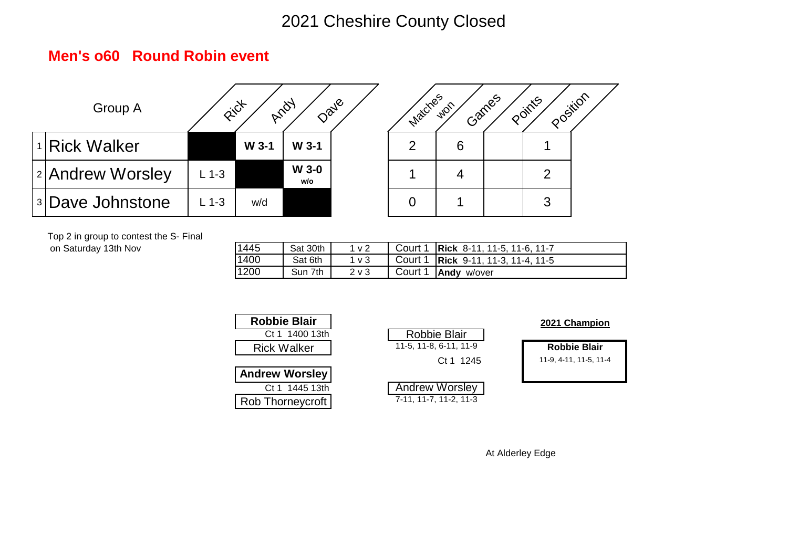#### **Men's o60 Round Robin event**





Top 2 in group to contest the S- Final on Saturday 13th Nov

| 1445 | Sat 30th | 1 <sub>v</sub>   | Court 1 Rick 8-11, 11-5, 11-6, 11-7   |
|------|----------|------------------|---------------------------------------|
| 1400 | Sat 6th  | 1 <sub>V</sub> 3 | Court 1   Rick 9-11, 11-3, 11-4, 11-5 |
| 1200 | Sun 7th  | $2 \vee 3$       | Court 1 <b>Andy</b> w/over            |

| <b>Robbie Blair</b>   |                        | 2021 Champion          |
|-----------------------|------------------------|------------------------|
| Ct 1 1400 13th        | <b>Robbie Blair</b>    |                        |
| <b>Rick Walker</b>    | 11-5, 11-8, 6-11, 11-9 | <b>Robbie Blair</b>    |
|                       | Ct 1 1245              | 11-9, 4-11, 11-5, 11-4 |
| <b>Andrew Worsley</b> |                        |                        |
| Ct 1 1445 13th        | <b>Andrew Worsley</b>  |                        |
| Rob Thorneycroft      | 7-11, 11-7, 11-2, 11-3 |                        |

| ounic Diali        |                        | <b>2021 Champion</b>   |
|--------------------|------------------------|------------------------|
| Ct 1 1400 13th     | <b>Robbie Blair</b>    |                        |
| <b>Rick Walker</b> | 11-5, 11-8, 6-11, 11-9 | <b>Robbie Blair</b>    |
|                    | Ct 1 1245              | 11-9, 4-11, 11-5, 11-4 |
| drew Worsley       |                        |                        |
| Ct 1 1445 13th     | <b>Andrew Worsley</b>  |                        |
| b Thornevcroft     | 7-11, 11-7, 11-2, 11-3 |                        |